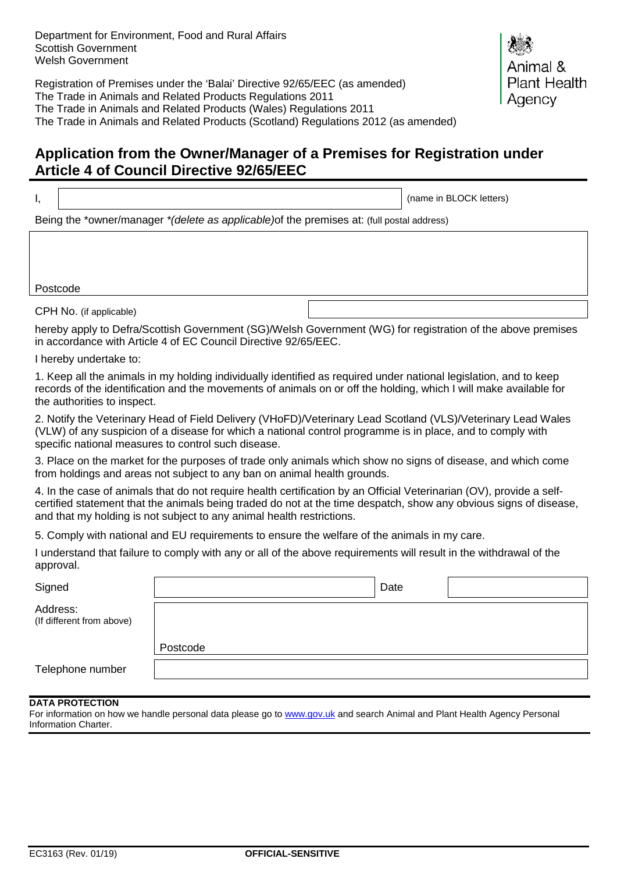Registration of Premises under the 'Balai' Directive 92/65/EEC (as amended) The Trade in Animals and Related Products Regulations 2011 The Trade in Animals and Related Products (Wales) Regulations 2011 The Trade in Animals and Related Products (Scotland) Regulations 2012 (as amended)



I, (name in BLOCK letters)

nal & Plant Health

Agency

Being the \*owner/manager *\*(delete as applicable)*of the premises at: (full postal address)

Postcode

CPH No. (if applicable)

hereby apply to Defra/Scottish Government (SG)/Welsh Government (WG) for registration of the above premises in accordance with Article 4 of EC Council Directive 92/65/EEC.

I hereby undertake to:

1. Keep all the animals in my holding individually identified as required under national legislation, and to keep records of the identification and the movements of animals on or off the holding, which I will make available for the authorities to inspect.

2. Notify the Veterinary Head of Field Delivery (VHoFD)/Veterinary Lead Scotland (VLS)/Veterinary Lead Wales (VLW) of any suspicion of a disease for which a national control programme is in place, and to comply with specific national measures to control such disease.

3. Place on the market for the purposes of trade only animals which show no signs of disease, and which come from holdings and areas not subject to any ban on animal health grounds.

4. In the case of animals that do not require health certification by an Official Veterinarian (OV), provide a selfcertified statement that the animals being traded do not at the time despatch, show any obvious signs of disease, and that my holding is not subject to any animal health restrictions.

5. Comply with national and EU requirements to ensure the welfare of the animals in my care.

I understand that failure to comply with any or all of the above requirements will result in the withdrawal of the approval.

| Signed                                |          | Date |  |
|---------------------------------------|----------|------|--|
| Address:<br>(If different from above) |          |      |  |
|                                       | Postcode |      |  |
| Telephone number                      |          |      |  |

## **DATA PROTECTION**

For information on how we handle personal data please go to [www.gov.uk](http://www.gov.uk/) and search Animal and Plant Health Agency Personal Information Charter.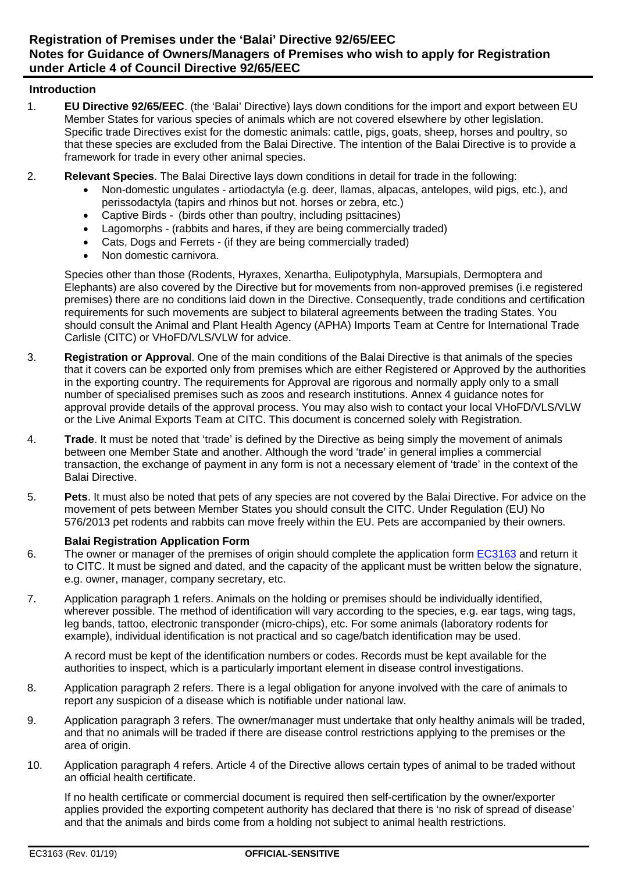## **Introduction**

- 1. **EU Directive 92/65/EEC**. (the 'Balai' Directive) lays down conditions for the import and export between EU Member States for various species of animals which are not covered elsewhere by other legislation. Specific trade Directives exist for the domestic animals: cattle, pigs, goats, sheep, horses and poultry, so that these species are excluded from the Balai Directive. The intention of the Balai Directive is to provide a framework for trade in every other animal species.
- 2. **Relevant Species**. The Balai Directive lays down conditions in detail for trade in the following:
	- Non-domestic ungulates artiodactyla (e.g. deer, llamas, alpacas, antelopes, wild pigs, etc.), and perissodactyla (tapirs and rhinos but not. horses or zebra, etc.)
	- Captive Birds (birds other than poultry, including psittacines)
	- Lagomorphs (rabbits and hares, if they are being commercially traded)
	- Cats, Dogs and Ferrets (if they are being commercially traded)
	- Non domestic carnivora.

Species other than those (Rodents, Hyraxes, Xenartha, Eulipotyphyla, Marsupials, Dermoptera and Elephants) are also covered by the Directive but for movements from non-approved premises (i.e registered premises) there are no conditions laid down in the Directive. Consequently, trade conditions and certification requirements for such movements are subject to bilateral agreements between the trading States. You should consult the Animal and Plant Health Agency (APHA) Imports Team at Centre for International Trade Carlisle (CITC) or VHoFD/VLS/VLW for advice.

- 3. **Registration or Approva**l. One of the main conditions of the Balai Directive is that animals of the species that it covers can be exported only from premises which are either Registered or Approved by the authorities in the exporting country. The requirements for Approval are rigorous and normally apply only to a small number of specialised premises such as zoos and research institutions. Annex 4 guidance notes for approval provide details of the approval process. You may also wish to contact your local VHoFD/VLS/VLW or the Live Animal Exports Team at CITC. This document is concerned solely with Registration.
- 4. **Trade**. It must be noted that 'trade' is defined by the Directive as being simply the movement of animals between one Member State and another. Although the word 'trade' in general implies a commercial transaction, the exchange of payment in any form is not a necessary element of 'trade' in the context of the Balai Directive.
- 5. **Pets**. It must also be noted that pets of any species are not covered by the Balai Directive. For advice on the movement of pets between Member States you should consult the CITC. Under Regulation (EU) No 576/2013 pet rodents and rabbits can move freely within the EU. Pets are accompanied by their owners.

## **Balai Registration Application Form**

- 6. The owner or manager of the premises of origin should complete the application form [EC3163](https://www.gov.uk/government/publications/balai-directive-registration-of-premises-to-export-animals) and return it to CITC. It must be signed and dated, and the capacity of the applicant must be written below the signature, e.g. owner, manager, company secretary, etc.
- 7. Application paragraph 1 refers. Animals on the holding or premises should be individually identified, wherever possible. The method of identification will vary according to the species, e.g. ear tags, wing tags, leg bands, tattoo, electronic transponder (micro-chips), etc. For some animals (laboratory rodents for example), individual identification is not practical and so cage/batch identification may be used.

A record must be kept of the identification numbers or codes. Records must be kept available for the authorities to inspect, which is a particularly important element in disease control investigations.

- 8. Application paragraph 2 refers. There is a legal obligation for anyone involved with the care of animals to report any suspicion of a disease which is notifiable under national law.
- 9. Application paragraph 3 refers. The owner/manager must undertake that only healthy animals will be traded, and that no animals will be traded if there are disease control restrictions applying to the premises or the area of origin.
- 10. Application paragraph 4 refers. Article 4 of the Directive allows certain types of animal to be traded without an official health certificate.

If no health certificate or commercial document is required then self-certification by the owner/exporter applies provided the exporting competent authority has declared that there is 'no risk of spread of disease' and that the animals and birds come from a holding not subject to animal health restrictions.